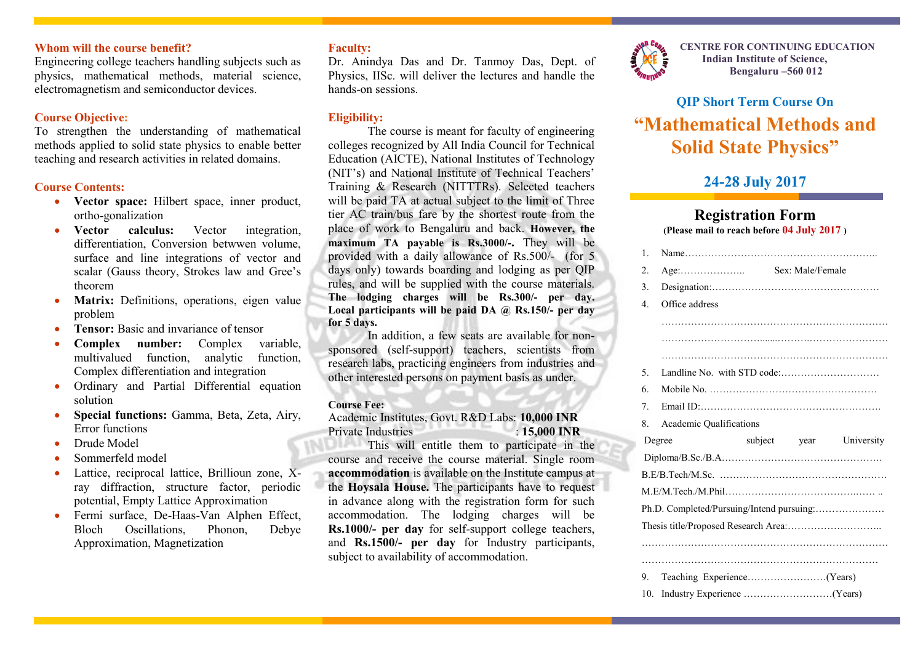### **Whom will the course benefit?**

Engineering college teachers handling subjects such as physics, mathematical methods, material science, electromagnetism and semiconductor devices.

### **Course Objective:**

To strengthen the understanding of mathematical methods applied to solid state physics to enable better teaching and research activities in related domains.

### **Course Contents:**

- **Vector space:** Hilbert space, inner product, ortho-gonalization
- **Vector calculus:** Vector integration, differentiation, Conversion betwwen volume, surface and line integrations of vector and scalar (Gauss theory, Strokes law and Gree's theorem
- **Matrix:** Definitions, operations, eigen value problem
- **Tensor:** Basic and invariance of tensor
- **Complex number:** Complex variable, multivalued function, analytic function, Complex differentiation and integration
- Ordinary and Partial Differential equation solution
- **Special functions:** Gamma, Beta, Zeta, Airy, Error functions
- Drude Model
- Sommerfeld model
- Lattice, reciprocal lattice, Brillioun zone, Xray diffraction, structure factor, periodic potential, Empty Lattice Approximation
- Fermi surface, De-Haas-Van Alphen Effect, Bloch Oscillations, Phonon, Debye Approximation, Magnetization

### **Faculty:**

Dr. Anindya Das and Dr. Tanmoy Das, Dept. of Physics, IISc. will deliver the lectures and handle the hands-on sessions.

### **Eligibility:**

The course is meant for faculty of engineering colleges recognized by All India Council for Technical Education (AICTE), National Institutes of Technology (NIT's) and National Institute of Technical Teachers' Training & Research (NITTTRs). Selected teachers will be paid TA at actual subject to the limit of Three tier AC train/bus fare by the shortest route from the place of work to Bengaluru and back. **However, the maximum TA payable is Rs.3000/-.** They will be provided with a daily allowance of Rs.500/- (for 5 days only) towards boarding and lodging as per QIP rules, and will be supplied with the course materials. **The lodging charges will be Rs.300/- per day. Local participants will be paid DA @ Rs.150/- per day for 5 days.**

In addition, a few seats are available for nonsponsored (self-support) teachers, scientists from research labs, practicing engineers from industries and other interested persons on payment basis as under.

#### **Course Fee:**

Academic Institutes, Govt. R&D Labs: **10,000 INR** Private Industries : **15,000 INR**

This will entitle them to participate in the course and receive the course material. Single room **accommodation** is available on the Institute campus at the **Hoysala House.** The participants have to request in advance along with the registration form for such accommodation. The lodging charges will be **Rs.1000/- per day** for self-support college teachers, and **Rs.1500/- per day** for Industry participants, subject to availability of accommodation.



**CENTRE FOR CONTINUING EDUCATION Indian Institute of Science, Bengaluru –560 012**

# **QIP Short Term Course On "Mathematical Methods and Solid State Physics"**

## **24-28 July 2017**

### **Registration Form (Please mail to reach before 04 July 2017 )**

|  | $\mathbf{1}$                              |                                |  |              |            |  |  |
|--|-------------------------------------------|--------------------------------|--|--------------|------------|--|--|
|  | 2.                                        |                                |  |              |            |  |  |
|  | 3 <sub>1</sub>                            |                                |  |              |            |  |  |
|  | $\overline{4}$ .                          | Office address                 |  |              |            |  |  |
|  |                                           |                                |  |              |            |  |  |
|  |                                           |                                |  |              |            |  |  |
|  |                                           |                                |  |              |            |  |  |
|  | 5 <sub>1</sub>                            |                                |  |              |            |  |  |
|  | 6.                                        |                                |  |              |            |  |  |
|  | 7 <sub>1</sub>                            |                                |  |              |            |  |  |
|  | 8.                                        | <b>Academic Qualifications</b> |  |              |            |  |  |
|  | Degree                                    |                                |  | subject year | University |  |  |
|  |                                           |                                |  |              |            |  |  |
|  |                                           |                                |  |              |            |  |  |
|  |                                           |                                |  |              |            |  |  |
|  | Ph.D. Completed/Pursuing/Intend pursuing: |                                |  |              |            |  |  |
|  |                                           |                                |  |              |            |  |  |
|  |                                           |                                |  |              |            |  |  |
|  |                                           |                                |  |              |            |  |  |
|  | 9.                                        |                                |  |              |            |  |  |
|  | 10.                                       |                                |  |              |            |  |  |